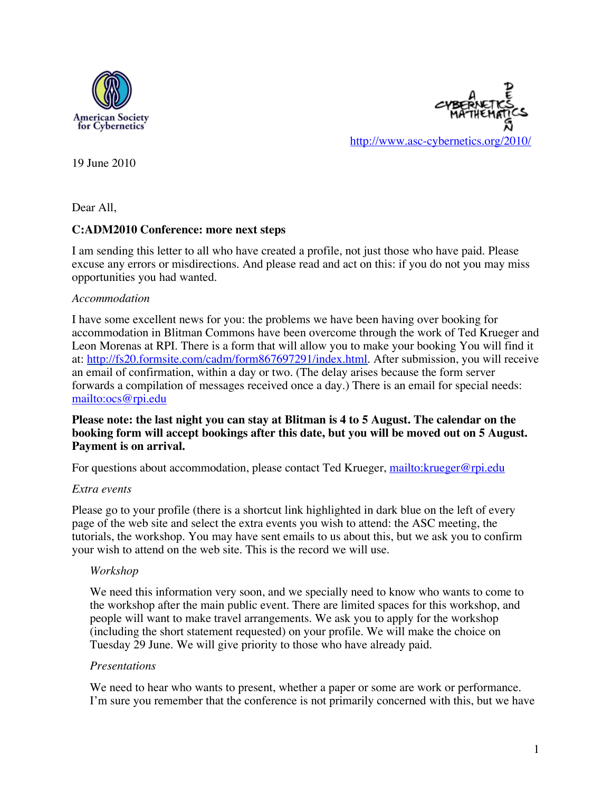



19 June 2010

Dear All,

# **C:ADM2010 Conference: more next steps**

I am sending this letter to all who have created a profile, not just those who have paid. Please excuse any errors or misdirections. And please read and act on this: if you do not you may miss opportunities you had wanted.

#### *Accommodation*

I have some excellent news for you: the problems we have been having over booking for accommodation in Blitman Commons have been overcome through the work of Ted Krueger and Leon Morenas at RPI. There is a form that will allow you to make your booking You will find it at: http://fs20.formsite.com/cadm/form867697291/index.html. After submission, you will receive an email of confirmation, within a day or two. (The delay arises because the form server forwards a compilation of messages received once a day.) There is an email for special needs: mailto:ocs@rpi.edu

# **Please note: the last night you can stay at Blitman is 4 to 5 August. The calendar on the booking form will accept bookings after this date, but you will be moved out on 5 August. Payment is on arrival.**

For questions about accommodation, please contact Ted Krueger, mailto:krueger@rpi.edu

#### *Extra events*

Please go to your profile (there is a shortcut link highlighted in dark blue on the left of every page of the web site and select the extra events you wish to attend: the ASC meeting, the tutorials, the workshop. You may have sent emails to us about this, but we ask you to confirm your wish to attend on the web site. This is the record we will use.

#### *Workshop*

We need this information very soon, and we specially need to know who wants to come to the workshop after the main public event. There are limited spaces for this workshop, and people will want to make travel arrangements. We ask you to apply for the workshop (including the short statement requested) on your profile. We will make the choice on Tuesday 29 June. We will give priority to those who have already paid.

#### *Presentations*

We need to hear who wants to present, whether a paper or some are work or performance. I'm sure you remember that the conference is not primarily concerned with this, but we have